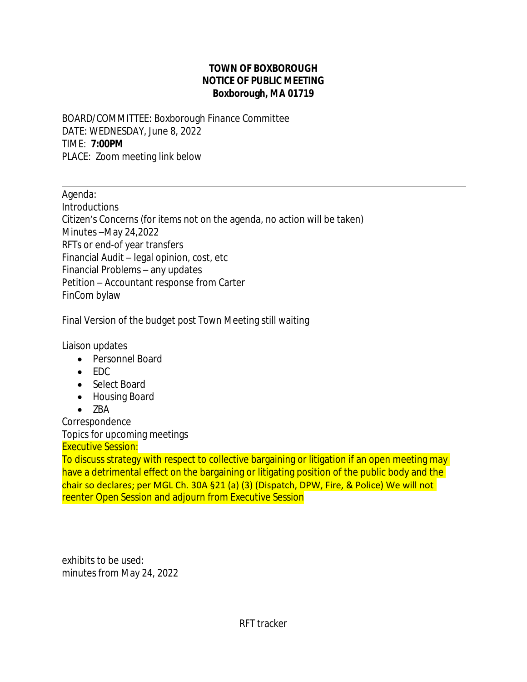## **TOWN OF BOXBOROUGH NOTICE OF PUBLIC MEETING Boxborough, MA 01719**

BOARD/COMMITTEE: Boxborough Finance Committee DATE: WEDNESDAY, June 8, 2022 TIME: **7:00PM** PLACE: Zoom meeting link below

Agenda: **Introductions** Citizen's Concerns (for items not on the agenda, no action will be taken) Minutes –May 24,2022 RFTs or end-of year transfers Financial Audit – legal opinion, cost, etc Financial Problems – any updates Petition – Accountant response from Carter FinCom bylaw

Final Version of the budget post Town Meeting still waiting

Liaison updates

 $\overline{a}$ 

- Personnel Board
- $\bullet$  FDC
- Select Board
- Housing Board
- $\bullet$  7BA

Correspondence

Topics for upcoming meetings

Executive Session:

To discuss strategy with respect to collective bargaining or litigation if an open meeting may have a detrimental effect on the bargaining or litigating position of the public body and the chair so declares; per MGL Ch. 30A §21 (a) (3) (Dispatch, DPW, Fire, & Police) We will not reenter Open Session and adjourn from Executive Session

exhibits to be used: minutes from May 24, 2022